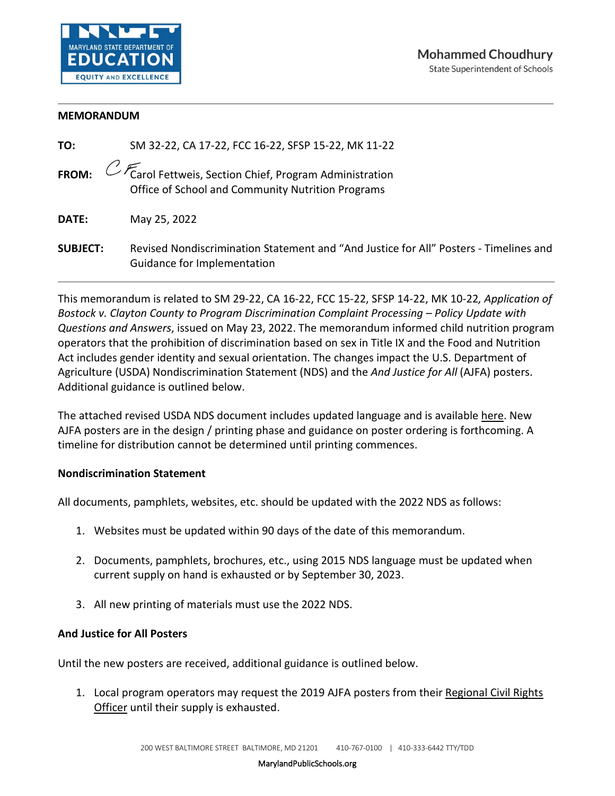

## **MEMORANDUM**

| TO:             | SM 32-22, CA 17-22, FCC 16-22, SFSP 15-22, MK 11-22                                                                                            |
|-----------------|------------------------------------------------------------------------------------------------------------------------------------------------|
|                 | <b>FROM:</b> $\mathbb{C}\mathbb{F}$ Carol Fettweis, Section Chief, Program Administration<br>Office of School and Community Nutrition Programs |
| DATE:           | May 25, 2022                                                                                                                                   |
| <b>SUBJECT:</b> | Revised Nondiscrimination Statement and "And Justice for All" Posters - Timelines and<br>Guidance for Implementation                           |

This memorandum is related to SM 29-22, CA 16-22, FCC 15-22, SFSP 14-22, MK 10-22*, Application of Bostock v. Clayton County to Program Discrimination Complaint Processing – Policy Update with Questions and Answers*, issued on May 23, 2022. The memorandum informed child nutrition program operators that the prohibition of discrimination based on sex in Title IX and the Food and Nutrition Act includes gender identity and sexual orientation. The changes impact the U.S. Department of Agriculture (USDA) Nondiscrimination Statement (NDS) and the *And Justice for All* (AJFA) posters. Additional guidance is outlined below.

The attached revised USDA NDS document includes updated language and is available [here.](https://www.fns.usda.gov/civil-rights/usda-nondiscrimination-statement-other-fns-programs) New AJFA posters are in the design / printing phase and guidance on poster ordering is forthcoming. A timeline for distribution cannot be determined until printing commences.

## **Nondiscrimination Statement**

All documents, pamphlets, websites, etc. should be updated with the 2022 NDS as follows:

- 1. Websites must be updated within 90 days of the date of this memorandum.
- 2. Documents, pamphlets, brochures, etc., using 2015 NDS language must be updated when current supply on hand is exhausted or by September 30, 2023.
- 3. All new printing of materials must use the 2022 NDS.

## **And Justice for All Posters**

Until the new posters are received, additional guidance is outlined below.

1. Local program operators may request the 2019 AJFA posters from their Regional Civil Rights [Officer](https://www.fns.usda.gov/fns-regional-offices) until their supply is exhausted.